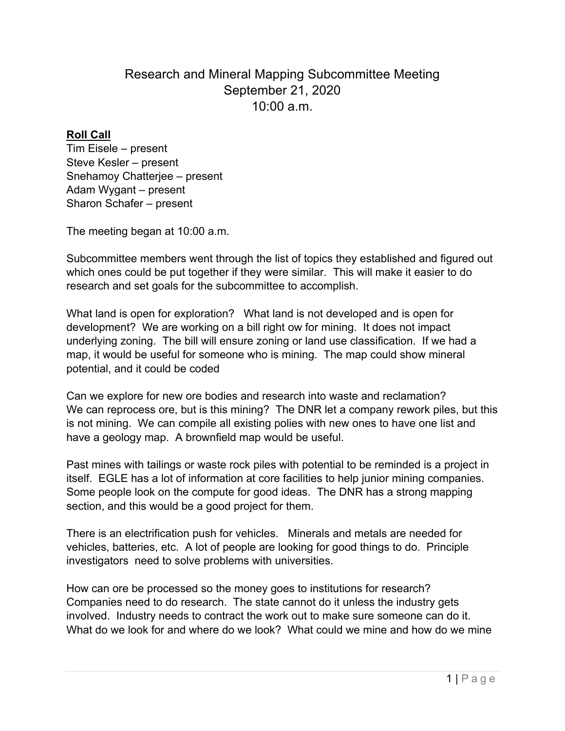## Research and Mineral Mapping Subcommittee Meeting September 21, 2020 10:00 a.m.

## **Roll Call**

Tim Eisele – present Steve Kesler – present Snehamoy Chatterjee – present Adam Wygant – present Sharon Schafer – present

The meeting began at 10:00 a.m.

Subcommittee members went through the list of topics they established and figured out which ones could be put together if they were similar. This will make it easier to do research and set goals for the subcommittee to accomplish.

What land is open for exploration? What land is not developed and is open for development? We are working on a bill right ow for mining. It does not impact underlying zoning. The bill will ensure zoning or land use classification. If we had a map, it would be useful for someone who is mining. The map could show mineral potential, and it could be coded

Can we explore for new ore bodies and research into waste and reclamation? We can reprocess ore, but is this mining? The DNR let a company rework piles, but this is not mining. We can compile all existing polies with new ones to have one list and have a geology map. A brownfield map would be useful.

Past mines with tailings or waste rock piles with potential to be reminded is a project in itself. EGLE has a lot of information at core facilities to help junior mining companies. Some people look on the compute for good ideas. The DNR has a strong mapping section, and this would be a good project for them.

There is an electrification push for vehicles. Minerals and metals are needed for vehicles, batteries, etc. A lot of people are looking for good things to do. Principle investigators need to solve problems with universities.

How can ore be processed so the money goes to institutions for research? Companies need to do research. The state cannot do it unless the industry gets involved. Industry needs to contract the work out to make sure someone can do it. What do we look for and where do we look? What could we mine and how do we mine